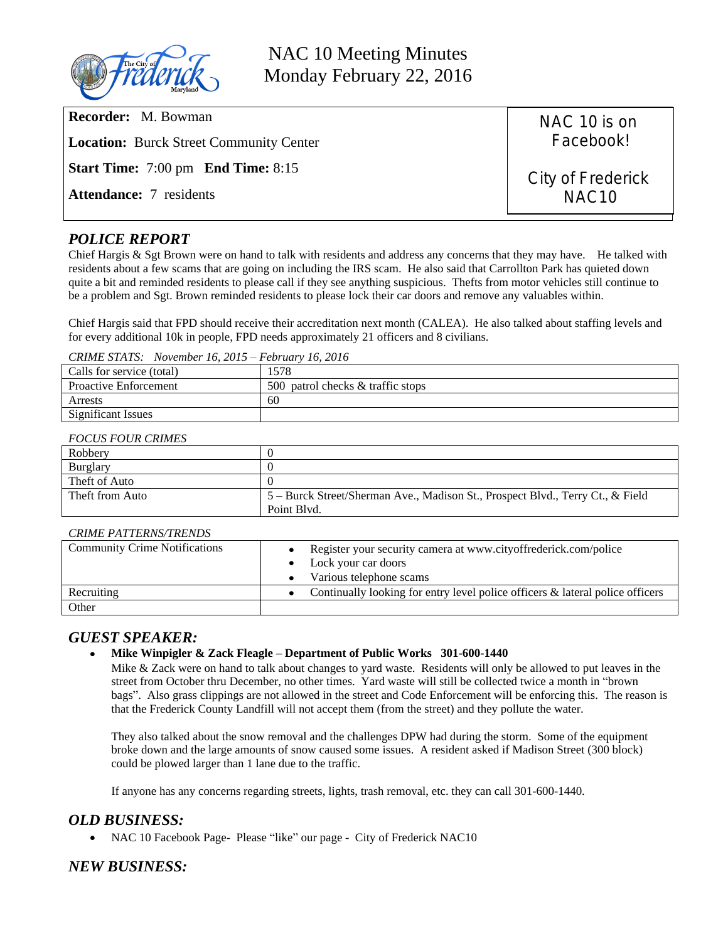

NAC 10 Meeting Minutes Monday February 22, 2016

| <b>Recorder:</b> M. Bowman<br><b>Location:</b> Burck Street Community Center | NAC 10 is on<br>Facebook!              |
|------------------------------------------------------------------------------|----------------------------------------|
| <b>Start Time:</b> 7:00 pm <b>End Time:</b> 8:15                             | City of Frederick<br>NAC <sub>10</sub> |
| <b>Attendance:</b> 7 residents                                               |                                        |
|                                                                              |                                        |

## *POLICE REPORT*

Chief Hargis & Sgt Brown were on hand to talk with residents and address any concerns that they may have. He talked with residents about a few scams that are going on including the IRS scam. He also said that Carrollton Park has quieted down quite a bit and reminded residents to please call if they see anything suspicious. Thefts from motor vehicles still continue to be a problem and Sgt. Brown reminded residents to please lock their car doors and remove any valuables within.

Chief Hargis said that FPD should receive their accreditation next month (CALEA). He also talked about staffing levels and for every additional 10k in people, FPD needs approximately 21 officers and 8 civilians.

*CRIME STATS: November 16, 2015 – February 16, 2016*

| Calls for service (total)    | 578ء                              |
|------------------------------|-----------------------------------|
| <b>Proactive Enforcement</b> | 500 patrol checks & traffic stops |
| Arrests                      | 60                                |
| <b>Significant Issues</b>    |                                   |

#### *FOCUS FOUR CRIMES*

| Robbery         |                                                                                |
|-----------------|--------------------------------------------------------------------------------|
| <b>Burglary</b> |                                                                                |
| Theft of Auto   |                                                                                |
| Theft from Auto | 5 – Burck Street/Sherman Ave., Madison St., Prospect Blvd., Terry Ct., & Field |
|                 | Point Blvd.                                                                    |

#### *CRIME PATTERNS/TRENDS*

| <b>Community Crime Notifications</b> | • Register your security camera at www.cityoffrederick.com/police<br>• Lock your car doors<br>Various telephone scams<br>$\bullet$ |
|--------------------------------------|------------------------------------------------------------------------------------------------------------------------------------|
| Recruiting                           | • Continually looking for entry level police officers $\&$ lateral police officers                                                 |
| Other                                |                                                                                                                                    |

### *GUEST SPEAKER:*

#### **Mike Winpigler & Zack Fleagle – Department of Public Works 301-600-1440**

Mike & Zack were on hand to talk about changes to yard waste. Residents will only be allowed to put leaves in the street from October thru December, no other times. Yard waste will still be collected twice a month in "brown bags". Also grass clippings are not allowed in the street and Code Enforcement will be enforcing this. The reason is that the Frederick County Landfill will not accept them (from the street) and they pollute the water.

They also talked about the snow removal and the challenges DPW had during the storm. Some of the equipment broke down and the large amounts of snow caused some issues. A resident asked if Madison Street (300 block) could be plowed larger than 1 lane due to the traffic.

If anyone has any concerns regarding streets, lights, trash removal, etc. they can call 301-600-1440.

### *OLD BUSINESS:*

• NAC 10 Facebook Page- Please "like" our page - City of Frederick NAC10

### *NEW BUSINESS:*